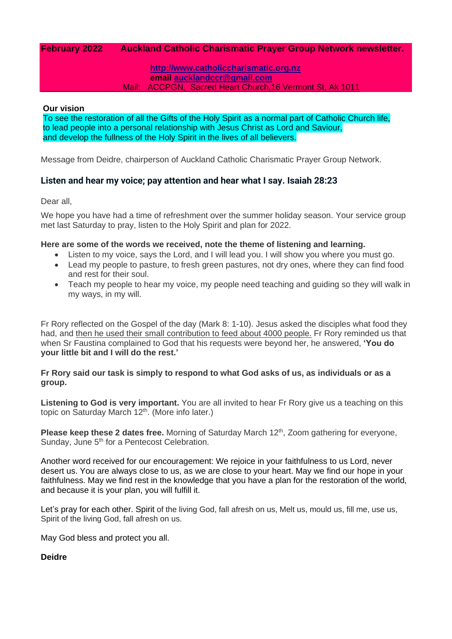## **February 2022 Auckland Catholic Charismatic Prayer Group Network newsletter.**

**[http://www.catholiccharismatic.org.nz](http://www.catholiccharismatic.org.nz/)  email [aucklandccr@gmail.com](mailto:aucklandccr@gmail.com)** Mail: ACCPGN, Sacred Heart Church,16 Vermont St, Ak 1011

#### **Our vision**

To see the restoration of all the Gifts of the Holy Spirit as a normal part of Catholic Church life, to lead people into a personal relationship with Jesus Christ as Lord and Saviour, and develop the fullness of the Holy Spirit in the lives of all believers.

Message from Deidre, chairperson of Auckland Catholic Charismatic Prayer Group Network.

## **Listen and hear my voice; pay attention and hear what I say. Isaiah 28:23**

Dear all,

We hope you have had a time of refreshment over the summer holiday season. Your service group met last Saturday to pray, listen to the Holy Spirit and plan for 2022.

### **Here are some of the words we received, note the theme of listening and learning.**

- Listen to my voice, says the Lord, and I will lead you. I will show you where you must go.
- Lead my people to pasture, to fresh green pastures, not dry ones, where they can find food and rest for their soul.
- Teach my people to hear my voice, my people need teaching and guiding so they will walk in my ways, in my will.

Fr Rory reflected on the Gospel of the day (Mark 8: 1-10). Jesus asked the disciples what food they had, and then he used their small contribution to feed about 4000 people. Fr Rory reminded us that when Sr Faustina complained to God that his requests were beyond her, he answered, **'You do your little bit and I will do the rest.'**

### **Fr Rory said our task is simply to respond to what God asks of us, as individuals or as a group.**

**Listening to God is very important.** You are all invited to hear Fr Rory give us a teaching on this topic on Saturday March 12<sup>th</sup>. (More info later.)

Please keep these 2 dates free. Morning of Saturday March 12<sup>th</sup>, Zoom gathering for everyone, Sunday, June 5<sup>th</sup> for a Pentecost Celebration.

Another word received for our encouragement: We rejoice in your faithfulness to us Lord, never desert us. You are always close to us, as we are close to your heart. May we find our hope in your faithfulness. May we find rest in the knowledge that you have a plan for the restoration of the world, and because it is your plan, you will fulfill it.

Let's pray for each other. Spirit of the living God, fall afresh on us, Melt us, mould us, fill me, use us, Spirit of the living God, fall afresh on us.

May God bless and protect you all.

**Deidre**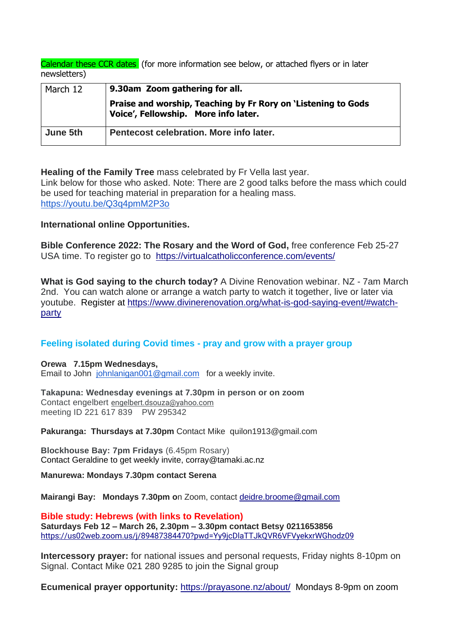Calendar these CCR dates (for more information see below, or attached flyers or in later newsletters)

| March 12 | 9.30am Zoom gathering for all.                                                                        |
|----------|-------------------------------------------------------------------------------------------------------|
|          | Praise and worship, Teaching by Fr Rory on 'Listening to Gods<br>Voice', Fellowship. More info later. |
| June 5th | Pentecost celebration. More info later.                                                               |

**Healing of the Family Tree** mass celebrated by Fr Vella last year.

Link below for those who asked. Note: There are 2 good talks before the mass which could be used for teaching material in preparation for a healing mass. <https://youtu.be/Q3q4pmM2P3o>

## **International online Opportunities.**

**Bible Conference 2022: The Rosary and the Word of God,** free conference Feb 25-27 USA time. To register go to <https://virtualcatholicconference.com/events/>

**What is God saying to the church today?** A Divine Renovation webinar. NZ - 7am March 2nd. You can watch alone or arrange a watch party to watch it together, live or later via youtube. Register at [https://www.divinerenovation.org/what-is-god-saying-event/#watch](https://www.divinerenovation.org/what-is-god-saying-event/#watch-party)[party](https://www.divinerenovation.org/what-is-god-saying-event/#watch-party)

# **Feeling isolated during Covid times - pray and grow with a prayer group**

**Orewa 7.15pm Wednesdays,** Email to John [johnlanigan001@gmail.com](mailto:johnlanigan001@gmail.com) for a weekly invite.

**Takapuna: Wednesday evenings at 7.30pm in person or on zoom** Contact engelbert [engelbert.dsouza@yahoo.com](mailto:engelbert.dsouza@yahoo.com) meeting ID 221 617 839 PW 295342

**Pakuranga: Thursdays at 7.30pm** Contact Mike quilon1913@gmail.com

**Blockhouse Bay: 7pm Fridays** (6.45pm Rosary) Contact Geraldine to get weekly invite, corray@tamaki.ac.nz

**Manurewa: Mondays 7.30pm contact Serena** 

**Mairangi Bay: Mondays 7.30pm o**n Zoom, contact [deidre.broome@gmail.com](mailto:deidre.broome@gmail.com)

**Bible study: Hebrews (with links to Revelation) Saturdays Feb 12 – March 26, 2.30pm – 3.30pm contact Betsy 0211653856** <https://us02web.zoom.us/j/89487384470?pwd=Yy9jcDlaTTJkQVR6VFVyekxrWGhodz09>

**Intercessory prayer:** for national issues and personal requests, Friday nights 8-10pm on Signal. Contact Mike 021 280 9285 to join the Signal group

**Ecumenical prayer opportunity:** <https://prayasone.nz/about/>Mondays 8-9pm on zoom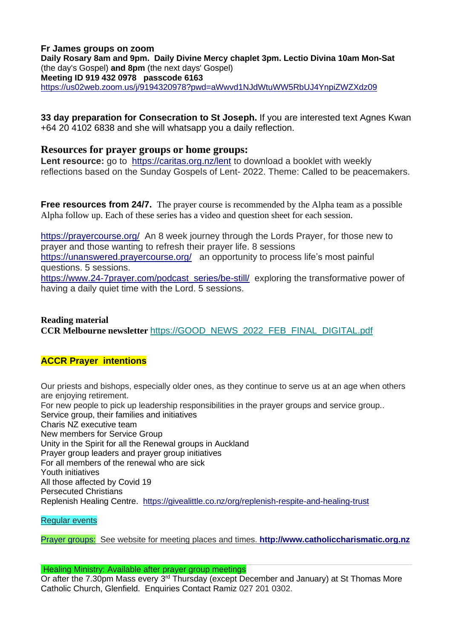### **Fr James groups on zoom Daily Rosary 8am and 9pm. Daily Divine Mercy chaplet 3pm. Lectio Divina 10am Mon-Sat** (the day's Gospel) **and 8pm** (the next days' Gospel) **Meeting ID 919 432 0978 passcode 6163** <https://us02web.zoom.us/j/9194320978?pwd=aWwvd1NJdWtuWW5RbUJ4YnpiZWZXdz09>

**33 day preparation for Consecration to St Joseph.** If you are interested text Agnes Kwan +64 20 4102 6838 and she will whatsapp you a daily reflection.

## **Resources for prayer groups or home groups:**

Lent resource: go to <https://caritas.org.nz/lent> to download a booklet with weekly reflections based on the Sunday Gospels of Lent- 2022. Theme: Called to be peacemakers.

**Free resources from 24/7.** The prayer course is recommended by the Alpha team as a possible Alpha follow up. Each of these series has a video and question sheet for each session.

<https://prayercourse.org/>An 8 week journey through the Lords Prayer, for those new to prayer and those wanting to refresh their prayer life. 8 sessions <https://unanswered.prayercourse.org/>an opportunity to process life's most painful questions. 5 sessions.

[https://www.24-7prayer.com/podcast\\_series/be-still/](https://www.24-7prayer.com/podcast_series/be-still/) exploring the transformative power of having a daily quiet time with the Lord. 5 sessions.

## **Reading material CCR Melbourne newsletter** [https://GOOD\\_NEWS\\_2022\\_FEB\\_FINAL\\_DIGITAL.pdf](https://ccr.us15.list-manage.com/track/click?u=4e5b0302c9bf347be9dea692b&id=122ef1d09e&e=56319e9d38)

# **ACCR Prayer intentions**

Our priests and bishops, especially older ones, as they continue to serve us at an age when others are enjoying retirement. For new people to pick up leadership responsibilities in the prayer groups and service group.. Service group, their families and initiatives Charis NZ executive team New members for Service Group Unity in the Spirit for all the Renewal groups in Auckland Prayer group leaders and prayer group initiatives For all members of the renewal who are sick Youth initiatives All those affected by Covid 19 Persecuted Christians Replenish Healing Centre. <https://givealittle.co.nz/org/replenish-respite-and-healing-trust>

Regular events

Prayer groups: See website for meeting places and times. **[http://www.catholiccharismatic.org.nz](http://www.catholiccharismatic.org.nz/)**

### Healing Ministry: Available after prayer group meetings

Or after the 7.30pm Mass every 3rd Thursday (except December and January) at St Thomas More Catholic Church, Glenfield. Enquiries Contact Ramiz 027 201 0302.